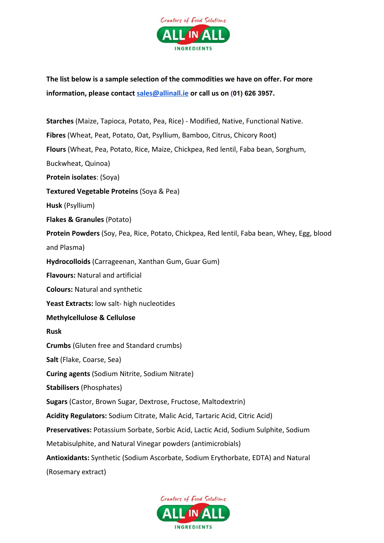

**The list below is a sample selection of the commodities we have on offer. For more information, please contact [sales@allinall.ie](mailto:sales@allinall.ie) or call us on [\(0](https://www.google.com/search?ei=D1yIXvCjGOWX1fAPuL-NOA&q=all+in+all+ingredients&oq=all+in+all+ingredients&gs_lcp=CgZwc3ktYWIQAzIECAAQRzIECAAQRzIECAAQRzIECAAQRzIECAAQRzIECAAQRzIECAAQRzIECAAQR0oJCBcSBTEwLTExSggIGBIEMTAtMlDDFFiwIGD1IGgAcAJ4AIABAIgBAJIBAJgBAKABAaoBB2d3cy13aXo&sclient=psy-ab&ved=0ahUKEwiw5-f1ws7oAhXlSxUIHbhfAwcQ4dUDCAw&uact=5#)1) 626 3957.**

**Starches** (Maize, Tapioca, Potato, Pea, Rice) - Modified, Native, Functional Native. **Fibres** (Wheat, Peat, Potato, Oat, Psyllium, Bamboo, Citrus, Chicory Root) **Flours** (Wheat, Pea, Potato, Rice, Maize, Chickpea, Red lentil, Faba bean, Sorghum, Buckwheat, Quinoa) **Protein isolates**: (Soya) **Textured Vegetable Proteins** (Soya & Pea) **Husk** (Psyllium) **Flakes & Granules** (Potato) **Protein Powders** (Soy, Pea, Rice, Potato, Chickpea, Red lentil, Faba bean, Whey, Egg, blood and Plasma) **Hydrocolloids** (Carrageenan, Xanthan Gum, Guar Gum) **Flavours:** Natural and artificial **Colours:** Natural and synthetic **Yeast Extracts:** low salt- high nucleotides **Methylcellulose & Cellulose Rusk Crumbs** (Gluten free and Standard crumbs) **Salt** (Flake, Coarse, Sea) **Curing agents** (Sodium Nitrite, Sodium Nitrate) **Stabilisers** (Phosphates) **Sugars** (Castor, Brown Sugar, Dextrose, Fructose, Maltodextrin) **Acidity Regulators:** Sodium Citrate, Malic Acid, Tartaric Acid, Citric Acid) **Preservatives:** Potassium Sorbate, Sorbic Acid, Lactic Acid, Sodium Sulphite, Sodium Metabisulphite, and Natural Vinegar powders (antimicrobials) **Antioxidants:** Synthetic (Sodium Ascorbate, Sodium Erythorbate, EDTA) and Natural

(Rosemary extract)